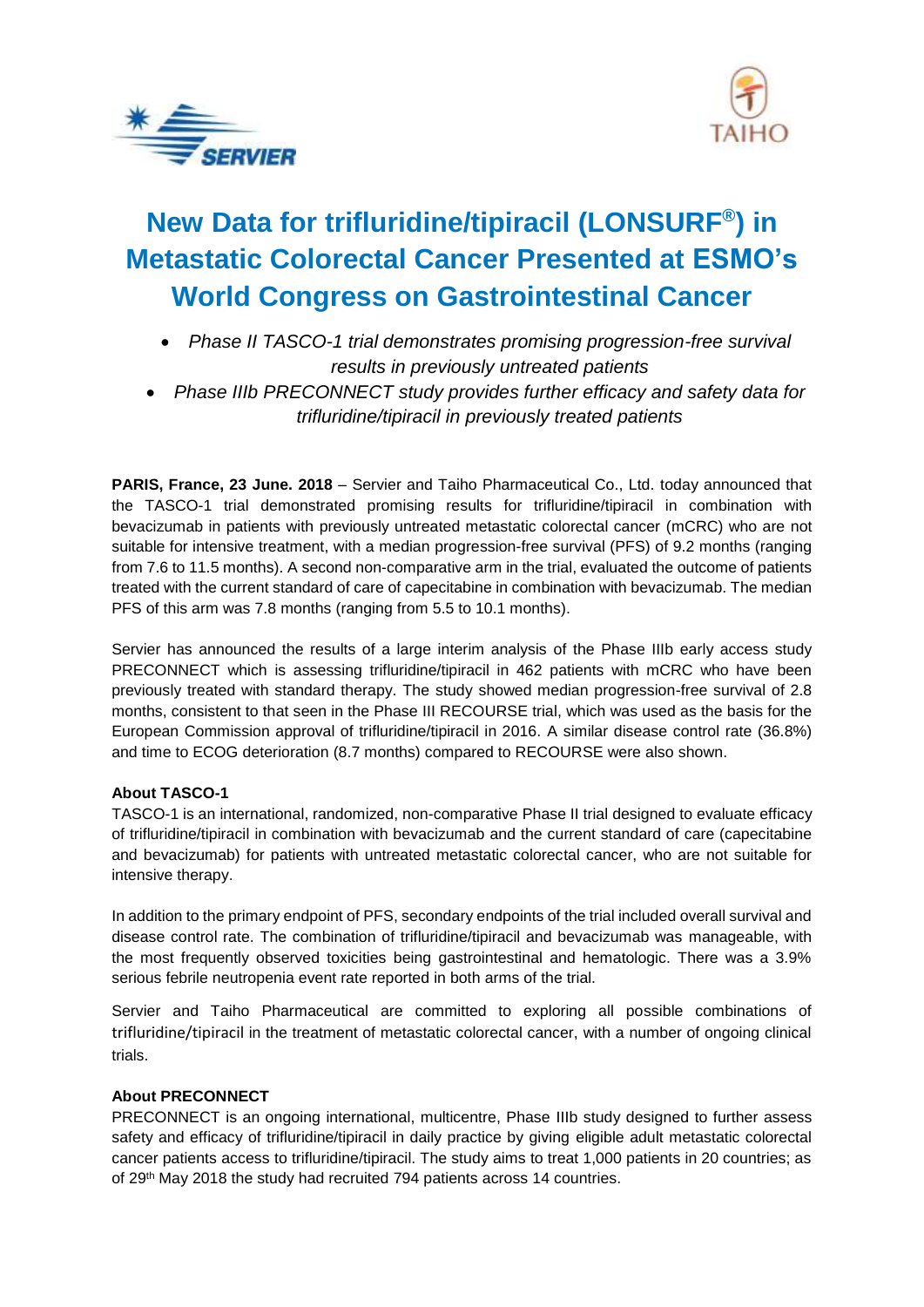



# **New Data for trifluridine/tipiracil (LONSURF® ) in Metastatic Colorectal Cancer Presented at ESMO's World Congress on Gastrointestinal Cancer**

- *Phase II TASCO-1 trial demonstrates promising progression-free survival results in previously untreated patients*
- *Phase IIIb PRECONNECT study provides further efficacy and safety data for trifluridine/tipiracil in previously treated patients*

**PARIS, France, 23 June. 2018** – Servier and Taiho Pharmaceutical Co., Ltd. today announced that the TASCO-1 trial demonstrated promising results for trifluridine/tipiracil in combination with bevacizumab in patients with previously untreated metastatic colorectal cancer (mCRC) who are not suitable for intensive treatment, with a median progression-free survival (PFS) of 9.2 months (ranging from 7.6 to 11.5 months). A second non-comparative arm in the trial, evaluated the outcome of patients treated with the current standard of care of capecitabine in combination with bevacizumab. The median PFS of this arm was 7.8 months (ranging from 5.5 to 10.1 months).

Servier has announced the results of a large interim analysis of the Phase IIIb early access study PRECONNECT which is assessing trifluridine/tipiracil in 462 patients with mCRC who have been previously treated with standard therapy. The study showed median progression-free survival of 2.8 months, consistent to that seen in the Phase III RECOURSE trial, which was used as the basis for the European Commission approval of trifluridine/tipiracil in 2016. A similar disease control rate (36.8%) and time to ECOG deterioration (8.7 months) compared to RECOURSE were also shown.

#### **About TASCO-1**

TASCO-1 is an international, randomized, non-comparative Phase II trial designed to evaluate efficacy of trifluridine/tipiracil in combination with bevacizumab and the current standard of care (capecitabine and bevacizumab) for patients with untreated metastatic colorectal cancer, who are not suitable for intensive therapy.

In addition to the primary endpoint of PFS, secondary endpoints of the trial included overall survival and disease control rate. The combination of trifluridine/tipiracil and bevacizumab was manageable, with the most frequently observed toxicities being gastrointestinal and hematologic. There was a 3.9% serious febrile neutropenia event rate reported in both arms of the trial.

Servier and Taiho Pharmaceutical are committed to exploring all possible combinations of trifluridine/tipiracil in the treatment of metastatic colorectal cancer, with a number of ongoing clinical trials.

## **About PRECONNECT**

PRECONNECT is an ongoing international, multicentre, Phase IIIb study designed to further assess safety and efficacy of trifluridine/tipiracil in daily practice by giving eligible adult metastatic colorectal cancer patients access to trifluridine/tipiracil. The study aims to treat 1,000 patients in 20 countries; as of 29<sup>th</sup> May 2018 the study had recruited 794 patients across 14 countries.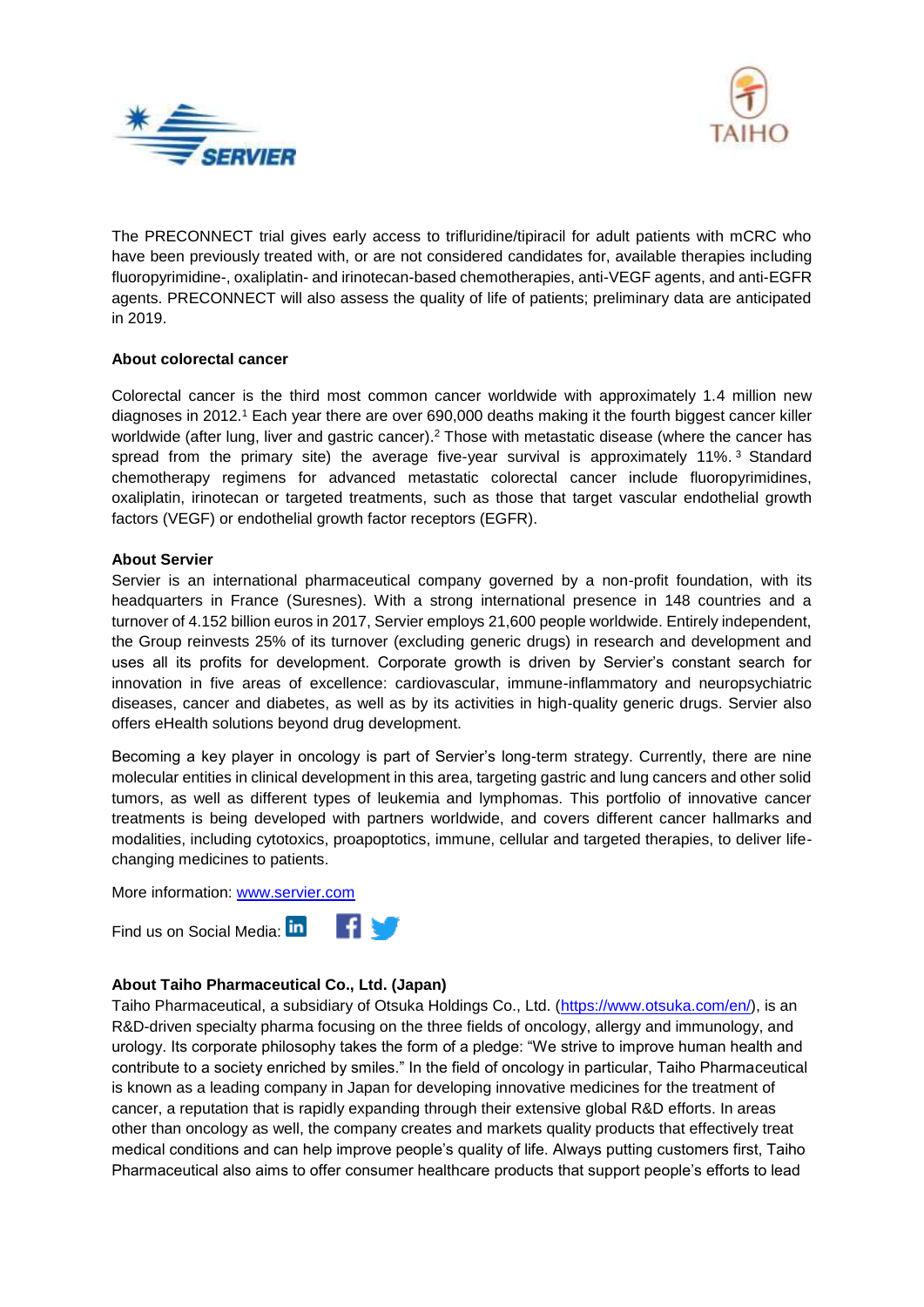



The PRECONNECT trial gives early access to trifluridine/tipiracil for adult patients with mCRC who have been previously treated with, or are not considered candidates for, available therapies including fluoropyrimidine-, oxaliplatin- and irinotecan-based chemotherapies, anti-VEGF agents, and anti-EGFR agents. PRECONNECT will also assess the quality of life of patients; preliminary data are anticipated in 2019.

#### **About colorectal cancer**

Colorectal cancer is the third most common cancer worldwide with approximately 1.4 million new diagnoses in 2012.<sup>1</sup> Each year there are over 690,000 deaths making it the fourth biggest cancer killer worldwide (after lung, liver and gastric cancer).<sup>2</sup> Those with metastatic disease (where the cancer has spread from the primary site) the average five-year survival is approximately 11%. <sup>3</sup> Standard chemotherapy regimens for advanced metastatic colorectal cancer include fluoropyrimidines, oxaliplatin, irinotecan or targeted treatments, such as those that target vascular endothelial growth factors (VEGF) or endothelial growth factor receptors (EGFR).

#### **About Servier**

Servier is an international pharmaceutical company governed by a non-profit foundation, with its headquarters in France (Suresnes). With a strong international presence in 148 countries and a turnover of 4.152 billion euros in 2017, Servier employs 21,600 people worldwide. Entirely independent, the Group reinvests 25% of its turnover (excluding generic drugs) in research and development and uses all its profits for development. Corporate growth is driven by Servier's constant search for innovation in five areas of excellence: cardiovascular, immune-inflammatory and neuropsychiatric diseases, cancer and diabetes, as well as by its activities in high-quality generic drugs. Servier also offers eHealth solutions beyond drug development.

Becoming a key player in oncology is part of Servier's long-term strategy. Currently, there are nine molecular entities in clinical development in this area, targeting gastric and lung cancers and other solid tumors, as well as different types of leukemia and lymphomas. This portfolio of innovative cancer treatments is being developed with partners worldwide, and covers different cancer hallmarks and modalities, including cytotoxics, proapoptotics, immune, cellular and targeted therapies, to deliver lifechanging medicines to patients.

More information: [www.servier.com](http://www.servier.com/)



#### **About Taiho Pharmaceutical Co., Ltd. (Japan)**

Taiho Pharmaceutical, a subsidiary of Otsuka Holdings Co., Ltd. [\(https://www.otsuka.com/en/\)](https://www.otsuka.com/en/), is an R&D-driven specialty pharma focusing on the three fields of oncology, allergy and immunology, and urology. Its corporate philosophy takes the form of a pledge: "We strive to improve human health and contribute to a society enriched by smiles." In the field of oncology in particular, Taiho Pharmaceutical is known as a leading company in Japan for developing innovative medicines for the treatment of cancer, a reputation that is rapidly expanding through their extensive global R&D efforts. In areas other than oncology as well, the company creates and markets quality products that effectively treat medical conditions and can help improve people's quality of life. Always putting customers first, Taiho Pharmaceutical also aims to offer consumer healthcare products that support people's efforts to lead